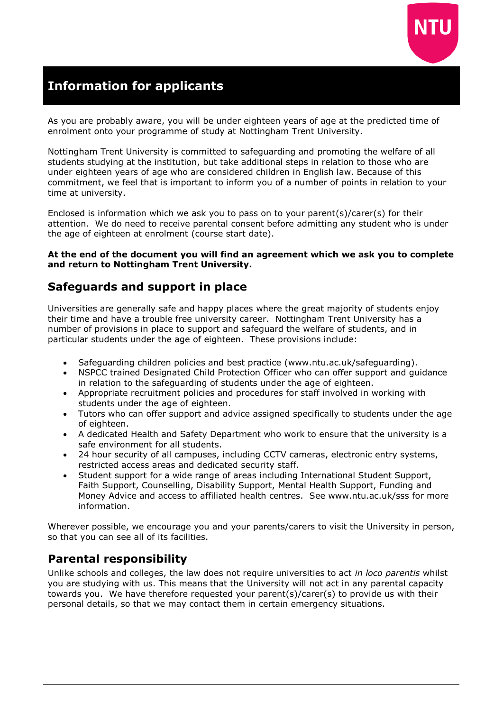

# **Information for applicants**

As you are probably aware, you will be under eighteen years of age at the predicted time of enrolment onto your programme of study at Nottingham Trent University.

Nottingham Trent University is committed to safeguarding and promoting the welfare of all students studying at the institution, but take additional steps in relation to those who are under eighteen years of age who are considered children in English law. Because of this commitment, we feel that is important to inform you of a number of points in relation to your time at university.

Enclosed is information which we ask you to pass on to your parent(s)/carer(s) for their attention. We do need to receive parental consent before admitting any student who is under the age of eighteen at enrolment (course start date).

#### **At the end of the document you will find an agreement which we ask you to complete and return to Nottingham Trent University.**

### **Safeguards and support in place**

Universities are generally safe and happy places where the great majority of students enjoy their time and have a trouble free university career. Nottingham Trent University has a number of provisions in place to support and safeguard the welfare of students, and in particular students under the age of eighteen. These provisions include:

- Safeguarding children policies and best practice (www.ntu.ac.uk/safeguarding).
- NSPCC trained Designated Child Protection Officer who can offer support and guidance in relation to the safeguarding of students under the age of eighteen.
- Appropriate recruitment policies and procedures for staff involved in working with students under the age of eighteen.
- Tutors who can offer support and advice assigned specifically to students under the age of eighteen.
- A dedicated Health and Safety Department who work to ensure that the university is a safe environment for all students.
- 24 hour security of all campuses, including CCTV cameras, electronic entry systems, restricted access areas and dedicated security staff.
- Student support for a wide range of areas including International Student Support, Faith Support, Counselling, Disability Support, Mental Health Support, Funding and Money Advice and access to affiliated health centres. See www.ntu.ac.uk/sss for more information.

Wherever possible, we encourage you and your parents/carers to visit the University in person, so that you can see all of its facilities.

# **Parental responsibility**

Unlike schools and colleges, the law does not require universities to act *in loco parentis* whilst you are studying with us. This means that the University will not act in any parental capacity towards you. We have therefore requested your parent(s)/carer(s) to provide us with their personal details, so that we may contact them in certain emergency situations.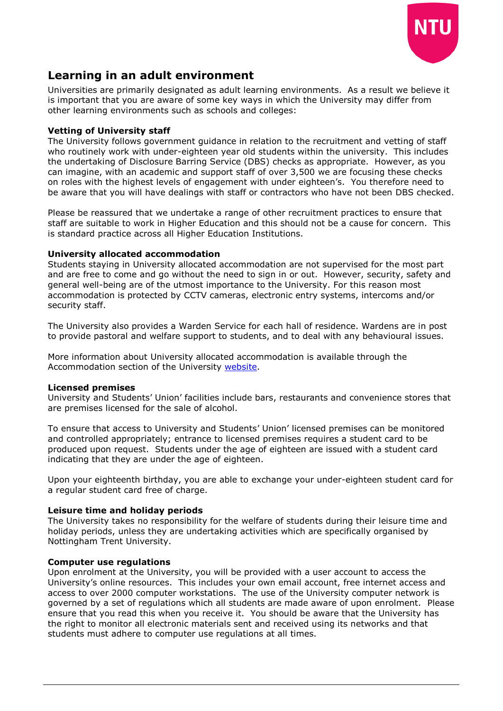

## **Learning in an adult environment**

Universities are primarily designated as adult learning environments. As a result we believe it is important that you are aware of some key ways in which the University may differ from other learning environments such as schools and colleges:

### **Vetting of University staff**

The University follows government guidance in relation to the recruitment and vetting of staff who routinely work with under-eighteen year old students within the university. This includes the undertaking of Disclosure Barring Service (DBS) checks as appropriate. However, as you can imagine, with an academic and support staff of over 3,500 we are focusing these checks on roles with the highest levels of engagement with under eighteen's. You therefore need to be aware that you will have dealings with staff or contractors who have not been DBS checked.

Please be reassured that we undertake a range of other recruitment practices to ensure that staff are suitable to work in Higher Education and this should not be a cause for concern. This is standard practice across all Higher Education Institutions.

### **University allocated accommodation**

Students staying in University allocated accommodation are not supervised for the most part and are free to come and go without the need to sign in or out. However, security, safety and general well-being are of the utmost importance to the University. For this reason most accommodation is protected by CCTV cameras, electronic entry systems, intercoms and/or security staff.

The University also provides a Warden Service for each hall of residence. Wardens are in post to provide pastoral and welfare support to students, and to deal with any behavioural issues.

More information about University allocated accommodation is available through the Accommodation section of the University [website.](http://www.ntu.ac.uk/study_with_us/accommodation/)

#### **Licensed premises**

University and Students' Union' facilities include bars, restaurants and convenience stores that are premises licensed for the sale of alcohol.

To ensure that access to University and Students' Union' licensed premises can be monitored and controlled appropriately; entrance to licensed premises requires a student card to be produced upon request. Students under the age of eighteen are issued with a student card indicating that they are under the age of eighteen.

Upon your eighteenth birthday, you are able to exchange your under-eighteen student card for a regular student card free of charge.

### **Leisure time and holiday periods**

The University takes no responsibility for the welfare of students during their leisure time and holiday periods, unless they are undertaking activities which are specifically organised by Nottingham Trent University.

#### **Computer use regulations**

Upon enrolment at the University, you will be provided with a user account to access the University's online resources. This includes your own email account, free internet access and access to over 2000 computer workstations. The use of the University computer network is governed by a set of regulations which all students are made aware of upon enrolment. Please ensure that you read this when you receive it. You should be aware that the University has the right to monitor all electronic materials sent and received using its networks and that students must adhere to computer use regulations at all times.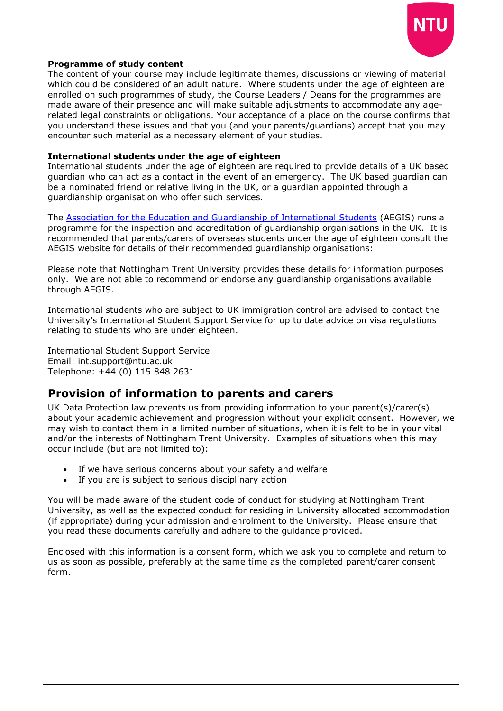

#### **Programme of study content**

The content of your course may include legitimate themes, discussions or viewing of material which could be considered of an adult nature. Where students under the age of eighteen are enrolled on such programmes of study, the Course Leaders / Deans for the programmes are made aware of their presence and will make suitable adjustments to accommodate any agerelated legal constraints or obligations. Your acceptance of a place on the course confirms that you understand these issues and that you (and your parents/guardians) accept that you may encounter such material as a necessary element of your studies.

#### **International students under the age of eighteen**

International students under the age of eighteen are required to provide details of a UK based guardian who can act as a contact in the event of an emergency. The UK based guardian can be a nominated friend or relative living in the UK, or a guardian appointed through a guardianship organisation who offer such services.

The [Association for the Education and Guardianship of International Students](http://www.aegisuk.net/) (AEGIS) runs a programme for the inspection and accreditation of guardianship organisations in the UK. It is recommended that parents/carers of overseas students under the age of eighteen consult the AEGIS website for details of their recommended guardianship organisations:

Please note that Nottingham Trent University provides these details for information purposes only. We are not able to recommend or endorse any guardianship organisations available through AEGIS.

International students who are subject to UK immigration control are advised to contact the University's International Student Support Service for up to date advice on visa regulations relating to students who are under eighteen.

International Student Support Service Email: [int.support@ntu.ac.uk](mailto:int.support@ntu.ac.uk)  Telephone: +44 (0) 115 848 2631

### **Provision of information to parents and carers**

UK Data Protection law prevents us from providing information to your parent(s)/carer(s) about your academic achievement and progression without your explicit consent. However, we may wish to contact them in a limited number of situations, when it is felt to be in your vital and/or the interests of Nottingham Trent University. Examples of situations when this may occur include (but are not limited to):

- If we have serious concerns about your safety and welfare
- If you are is subject to serious disciplinary action

You will be made aware of the student code of conduct for studying at Nottingham Trent University, as well as the expected conduct for residing in University allocated accommodation (if appropriate) during your admission and enrolment to the University. Please ensure that you read these documents carefully and adhere to the guidance provided.

Enclosed with this information is a consent form, which we ask you to complete and return to us as soon as possible, preferably at the same time as the completed parent/carer consent form.